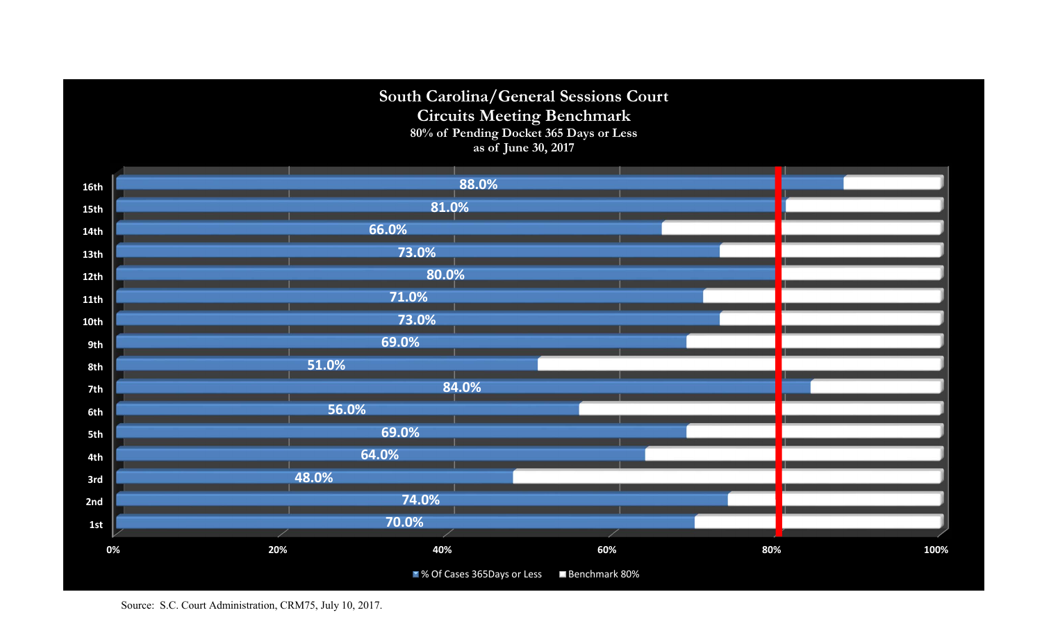

Source: S.C. Court Administration, CRM75, July 10, 2017.